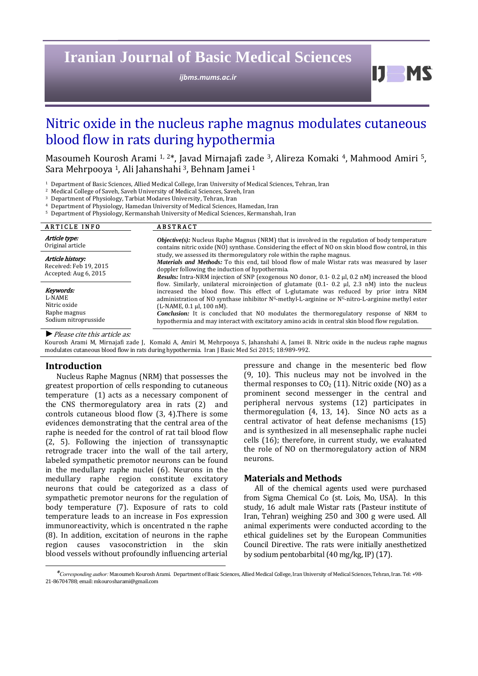## **Iranian Journal of Basic Medical Sciences**

*ijbms.mums.ac.ir*

D. **M** 

# Nitric oxide in the nucleus raphe magnus modulates cutaneous blood flow in rats during hypothermia

Masoumeh Kourosh Arami <sup>1, 2\*</sup>, Javad Mirnajafi zade <sup>3</sup>, Alireza Komaki <sup>4</sup>, Mahmood Amiri <sup>5</sup>, Sara Mehrpooya <sup>1</sup>, Ali Jahanshahi<sup>3</sup>, Behnam Jamei <sup>1</sup>

<sup>1</sup> Department of Basic Sciences, Allied Medical College, Iran University of Medical Sciences, Tehran, Iran

<sup>2</sup> Medical College of Saveh, Saveh University of Medical Sciences, Saveh, Iran

<sup>3</sup> Department of Physiology, Tarbiat Modares University, Tehran, Iran

Department of Physiology, Hamedan University of Medical Sciences, Hamedan, Iran

<sup>5</sup> Department of Physiology, Kermanshah University of Medical Sciences, Kermanshah, Iran

| <b>ARTICLE INFO</b>                                                         | <b>ABSTRACT</b>                                                                                                                                                                                                                                                                                                                                                                                                                                                                                                                                                                                                                                                                                                                                                                                                                                                                                                                                                                                                                                                                                                  |
|-----------------------------------------------------------------------------|------------------------------------------------------------------------------------------------------------------------------------------------------------------------------------------------------------------------------------------------------------------------------------------------------------------------------------------------------------------------------------------------------------------------------------------------------------------------------------------------------------------------------------------------------------------------------------------------------------------------------------------------------------------------------------------------------------------------------------------------------------------------------------------------------------------------------------------------------------------------------------------------------------------------------------------------------------------------------------------------------------------------------------------------------------------------------------------------------------------|
| Article type:<br>Original article                                           | <b><i>Objective(s)</i></b> : Nucleus Raphe Magnus (NRM) that is involved in the regulation of body temperature<br>contains nitric oxide (NO) synthase. Considering the effect of NO on skin blood flow control, in this<br>study, we assessed its thermoregulatory role within the raphe magnus.<br><i>Materials and Methods:</i> To this end, tail blood flow of male Wistar rats was measured by laser<br>doppler following the induction of hypothermia.<br>Results: Intra-NRM injection of SNP (exogenous NO donor, 0.1-0.2 µl, 0.2 nM) increased the blood<br>flow. Similarly, unilateral microinjection of glutamate $(0.1 - 0.2 \mu l, 2.3 \text{ nM})$ into the nucleus<br>increased the blood flow. This effect of L-glutamate was reduced by prior intra NRM<br>administration of NO synthase inhibitor $Nc$ -methyl-L-arginine or $Nc$ -nitro-L-arginine methyl ester<br>(L-NAME, 0.1 µl, 100 nM).<br><b>Conclusion:</b> It is concluded that NO modulates the thermoregulatory response of NRM to<br>hypothermia and may interact with excitatory amino acids in central skin blood flow regulation. |
| Article history:<br>Received: Feb 19, 2015<br>Accepted: Aug 6, 2015         |                                                                                                                                                                                                                                                                                                                                                                                                                                                                                                                                                                                                                                                                                                                                                                                                                                                                                                                                                                                                                                                                                                                  |
| Keywords:<br>L-NAME<br>Nitric oxide<br>Raphe magnus<br>Sodium nitroprusside |                                                                                                                                                                                                                                                                                                                                                                                                                                                                                                                                                                                                                                                                                                                                                                                                                                                                                                                                                                                                                                                                                                                  |
| $\blacktriangleright$ Please cite this article as:                          |                                                                                                                                                                                                                                                                                                                                                                                                                                                                                                                                                                                                                                                                                                                                                                                                                                                                                                                                                                                                                                                                                                                  |

Kourosh Arami M, Mirnajafi zade J, Komaki A, Amiri M, Mehrpooya S, Jahanshahi A, Jamei B. Nitric oxide in the nucleus raphe magnus modulates cutaneous blood flow in rats during hypothermia. Iran J Basic Med Sci 2015; 18:989-992.

#### **Introduction**

Nucleus Raphe Magnus (NRM) that possesses the greatest proportion of cells responding to cutaneous temperature  $(1)$  acts as a necessary component of the CNS thermoregulatory area in rats  $(2)$  and controls cutaneous blood flow  $(3, 4)$ . There is some evidences demonstrating that the central area of the raphe is needed for the control of rat tail blood flow (2, 5). Following the injection of transsynaptic retrograde tracer into the wall of the tail artery, labeled sympathetic premotor neurons can be found in the medullary raphe nuclei  $(6)$ . Neurons in the medullary raphe region constitute excitatory neurons that could be categorized as a class of sympathetic premotor neurons for the regulation of body temperature (7). Exposure of rats to cold temperature leads to an increase in Fos expression immunoreactivity, which is oncentrated n the raphe  $(8)$ . In addition, excitation of neurons in the raphe region causes vasoconstriction in the skin blood vessels without profoundly influencing arterial pressure and change in the mesenteric bed flow  $(9, 10)$ . This nucleus may not be involved in the thermal responses to  $CO<sub>2</sub>$  (11). Nitric oxide (NO) as a prominent second messenger in the central and peripheral nervous systems (12) participates in thermoregulation  $(4, 13, 14)$ . Since NO acts as a central activator of heat defense mechanisms (15) and is synthesized in all mesensephalic raphe nuclei cells  $(16)$ ; therefore, in current study, we evaluated the role of NO on thermoregulatory action of NRM neurons. 

## **Materials and Methods**

All of the chemical agents used were purchased from Sigma Chemical Co (st. Lois, Mo, USA). In this study, 16 adult male Wistar rats (Pasteur institute of Iran, Tehran) weighing 250 and 300 g were used. All animal experiments were conducted according to the ethical guidelines set by the European Communities Council Directive. The rats were initially anesthetized by sodium pentobarbital (40 mg/kg, IP) (17).

*<sup>\*</sup>Corresponding author:* Masoumeh Kourosh Arami. Department of Basic Sciences, Allied Medical College, Iran University of Medical Sciences, Tehran, Iran. Tel: +98‐ 21-86704788; email: mkourosharami@gmail.com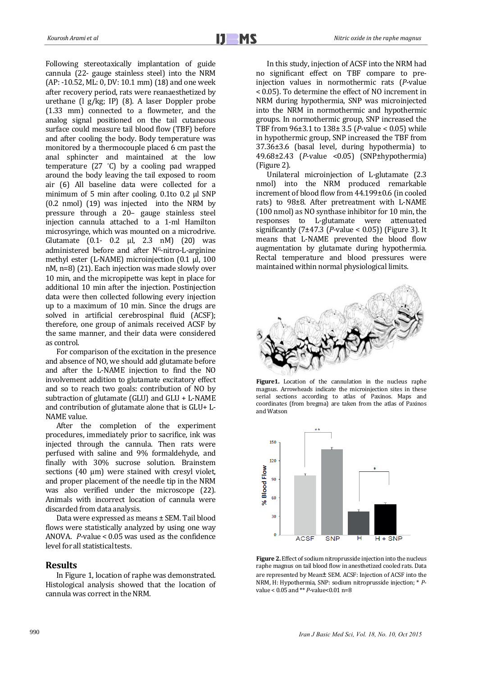Following stereotaxically implantation of guide cannula (22- gauge stainless steel) into the NRM  $(AP: -10.52, ML: 0, DV: 10.1 mm)$  (18) and one week after recovery period, rats were reanaesthetized by urethane  $($ l g/kg; IP)  $($ 8). A laser Doppler probe (1.33 mm) connected to a flowmeter, and the analog signal positioned on the tail cutaneous surface could measure tail blood flow (TBF) before and after cooling the body. Body temperature was monitored by a thermocouple placed 6 cm past the anal sphincter and maintained at the low temperature  $(27 \text{ }^{\circ}C)$  by a cooling pad wrapped around the body leaving the tail exposed to room air (6) All baseline data were collected for a minimum of 5 min after cooling. 0.1to 0.2 μl SNP  $(0.2 \text{ nmol})$   $(19)$  was injected into the NRM by pressure through a 20- gauge stainless steel injection cannula attached to a 1-ml Hamilton microsyringe, which was mounted on a microdrive. Glutamate  $(0.1 - 0.2 \mu l, 2.3 \mu M)$   $(20)$  was administered before and after NG-nitro-L-arginine methyl ester (L-NAME) microinjection (0.1 µl, 100 nM,  $n=8$ ) (21). Each injection was made slowly over 10 min, and the micropipette was kept in place for additional 10 min after the injection. Postinjection data were then collected following every injection up to a maximum of 10 min. Since the drugs are solved in artificial cerebrospinal fluid (ACSF); therefore, one group of animals received ACSF by the same manner, and their data were considered as control.

For comparison of the excitation in the presence and absence of NO, we should add glutamate before and after the L-NAME injection to find the NO involvement addition to glutamate excitatory effect and so to reach two goals: contribution of NO by subtraction of glutamate (GLU) and  $GLU + L$ -NAME and contribution of glutamate alone that is  $GLU+L$ -NAME value.

After the completion of the experiment procedures, immediately prior to sacrifice, ink was injected through the cannula. Then rats were perfused with saline and 9% formaldehyde, and finally with 30% sucrose solution. Brainstem sections  $(40 \mu m)$  were stained with cresyl violet, and proper placement of the needle tip in the NRM was also verified under the microscope (22). Animals with incorrect location of cannula were discarded from data analysis.

Data were expressed as means  $\pm$  SEM. Tail blood flows were statistically analyzed by using one way ANOVA.  $P$ -value < 0.05 was used as the confidence level for all statistical tests.

#### **Results**

In Figure 1, location of raphe was demonstrated. Histological analysis showed that the location of cannula was correct in the NRM.

In this study, injection of ACSF into the NRM had no significant effect on TBF compare to preinjection values in normothermic rats (P-value < 0.05). To determine the effect of NO increment in NRM during hypothermia, SNP was microinjected into the NRM in normothermic and hypothermic groups. In normothermic group, SNP increased the TBF from  $96\pm3.1$  to  $138\pm3.5$  (*P*-value < 0.05) while in hypothermic group, SNP increased the TBF from 37.36±3.6 (basal level, during hypothermia) to 49.68±2.43 (*P*-value <0.05) (SNP±hypothermia) (Figure 2).

Unilateral microinjection of L‐glutamate (2.3 nmol) into the NRM produced remarkable increment of blood flow from 44.199±0.6 (in cooled rats) to 98±8. After pretreatment with L-NAME (100 nmol) as NO synthase inhibitor for 10 min, the responses to L-glutamate were attenuated significantly  $(7\pm47.3 \text{ (}P\text{-value} < 0.05))$  (Figure 3). It means that L-NAME prevented the blood flow augmentation by glutamate during hypothermia. Rectal temperature and blood pressures were maintained within normal physiological limits.



Figure1. Location of the cannulation in the nucleus raphe magnus. Arrowheads indicate the microinjection sites in these serial sections according to atlas of Paxinos. Maps and coordinates (from bregma) are taken from the atlas of Paxinos and Watson 



**Figure 2.** Effect of sodium nitroprusside injection into the nucleus raphe magnus on tail blood flow in anesthetized cooled rats. Data are represented by Mean± SEM. ACSF: Injection of ACSF into the NRM, H: Hypothermia, SNP: sodium nitroprusside injection; \* Pvalue <  $0.05$  and \*\*  $P$ -value< $0.01$  n= $8$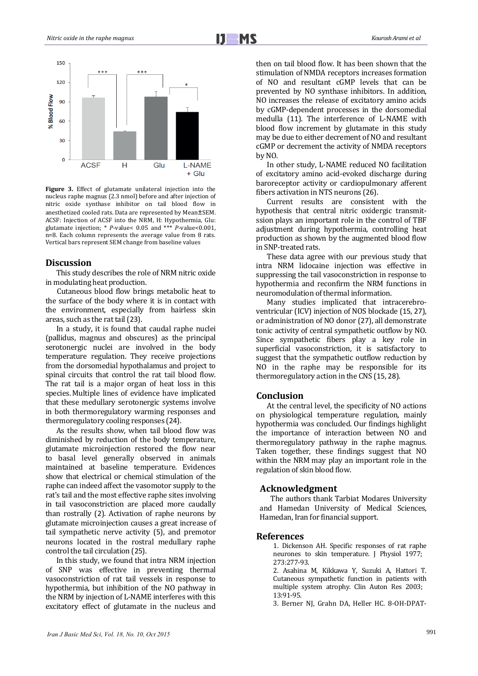

Figure 3. Effect of glutamate unilateral injection into the nucleus raphe magnus  $(2.3 \text{ nmol})$  before and after injection of nitric oxide synthase inhibitor on tail blood flow in anesthetized cooled rats. Data are represented by Mean±SEM. ACSF: Injection of ACSF into the NRM, H: Hypothermia, Glu: glutamate injection;  $*$  *P*-value < 0.05 and  $**$  *P*-value < 0.001,  $n=8$ . Each column represents the average value from 8 rats. Vertical bars represent SEM change from baseline values

#### Discussion

This study describes the role of NRM nitric oxide in modulating heat production.

Cutaneous blood flow brings metabolic heat to the surface of the body where it is in contact with the environment, especially from hairless skin areas, such as the rat tail (23).

In a study, it is found that caudal raphe nuclei (pallidus, magnus and obscures) as the principal serotonergic nuclei are involved in the body temperature regulation. They receive projections from the dorsomedial hypothalamus and project to spinal circuits that control the rat tail blood flow. The rat tail is a major organ of heat loss in this species. Multiple lines of evidence have implicated that these medullary serotonergic systems involve in both thermoregulatory warming responses and thermoregulatory cooling responses (24).

As the results show, when tail blood flow was diminished by reduction of the body temperature, glutamate microinjection restored the flow near to basal level generally observed in animals maintained at baseline temperature. Evidences show that electrical or chemical stimulation of the raphe can indeed affect the vasomotor supply to the rat's tail and the most effective raphe sites involving in tail vasoconstriction are placed more caudally than rostrally (2). Activation of raphe neurons by glutamate microinjection causes a great increase of tail sympathetic nerve activity (5), and premotor neurons located in the rostral medullary raphe control the tail circulation (25).

In this study, we found that intra NRM injection of SNP was effective in preventing thermal vasoconstriction of rat tail vessels in response to hypothermia, but inhibition of the NO pathway in the NRM by injection of L-NAME interferes with this excitatory effect of glutamate in the nucleus and

then on tail blood flow. It has been shown that the stimulation of NMDA receptors increases formation of NO and resultant cGMP levels that can be prevented by NO synthase inhibitors. In addition, NO increases the release of excitatory amino acids by cGMP-dependent processes in the dorsomedial medulla (11). The interference of L-NAME with blood flow increment by glutamate in this study may be due to either decrement of NO and resultant cGMP or decrement the activity of NMDA receptors by NO. 

In other study, L-NAME reduced NO facilitation of excitatory amino acid-evoked discharge during baroreceptor activity or cardiopulmonary afferent fibers activation in NTS neurons (26).

Current results are consistent with the hypothesis that central nitric oxidergic transmitssion plays an important role in the control of TBF adjustment during hypothermia, controlling heat production as shown by the augmented blood flow in SNP-treated rats.

These data agree with our previous study that intra NRM lidocaine injection was effective in suppressing the tail vasoconstriction in response to hypothermia and reconfirm the NRM functions in neuromodulation of thermal information.

Many studies implicated that intracerebroventricular (ICV) injection of NOS blockade (15, 27), or administration of NO donor (27), all demonstrate tonic activity of central sympathetic outflow by NO. Since sympathetic fibers play a key role in superficial vasoconstriction, it is satisfactory to suggest that the sympathetic outflow reduction by NO in the raphe may be responsible for its thermoregulatory action in the CNS (15, 28).

#### **Conclusion**

At the central level, the specificity of NO actions on physiological temperature regulation, mainly hypothermia was concluded. Our findings highlight the importance of interaction between NO and thermoregulatory pathway in the raphe magnus. Taken together, these findings suggest that NO within the NRM may play an important role in the regulation of skin blood flow.

## **Acknowledgment**

The authors thank Tarbiat Modares University and Hamedan University of Medical Sciences, Hamedan, Iran for financial support.

#### **References**

1. Dickenson AH. Specific responses of rat raphe neurones to skin temperature. J Physiol 1977; 273:277‐93. 

2. Asahina M, Kikkawa Y, Suzuki A, Hattori T. Cutaneous sympathetic function in patients with multiple system atrophy. Clin Auton Res 2003; 13:91‐95. 

3. Berner NJ, Grahn DA, Heller HC. 8-OH-DPAT-